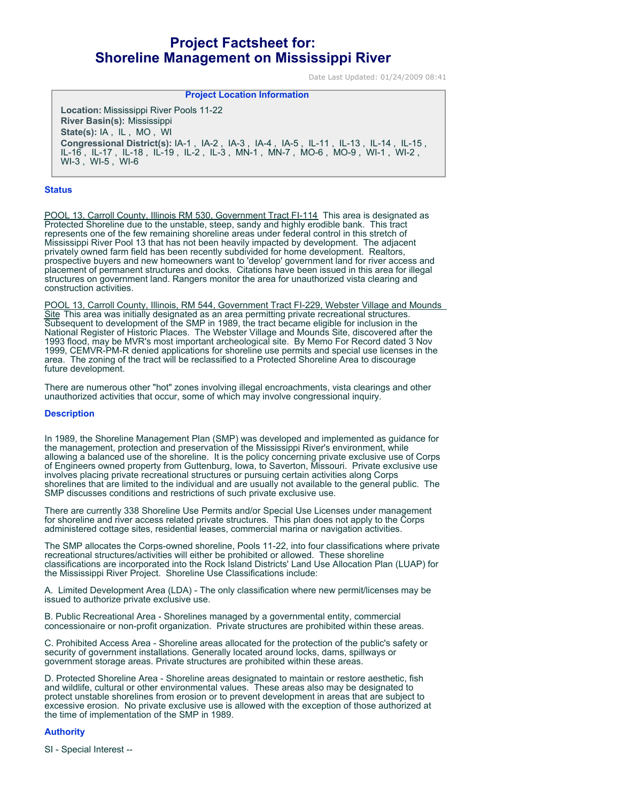# **Project Factsheet for: Shoreline Management on Mississippi River**

Date Last Updated: 01/24/2009 08:41

## **Project Location Information**

**Location:** Mississippi River Pools 11-22 **River Basin(s):** Mississippi **State(s):** IA , IL , MO , WI **Congressional District(s):** IA-1 , IA-2 , IA-3 , IA-4 , IA-5 , IL-11 , IL-13 , IL-14 , IL-15 , IL-16 , IL-17 , IL-18 , IL-19 , IL-2 , IL-3 , MN-1 , MN-7 , MO-6 , MO-9 , WI-1 , WI-2 , WI-3 , WI-5 , WI-6

#### **Status**

POOL 13, Carroll County, Illinois RM 530, Government Tract FI-114 This area is designated as Protected Shoreline due to the unstable, steep, sandy and highly erodible bank. This tract represents one of the few remaining shoreline areas under federal control in this stretch of Mississippi River Pool 13 that has not been heavily impacted by development. The adjacent privately owned farm field has been recently subdivided for home development. Realtors, prospective buyers and new homeowners want to 'develop' government land for river access and placement of permanent structures and docks. Citations have been issued in this area for illegal structures on government land. Rangers monitor the area for unauthorized vista clearing and construction activities.

POOL 13, Carroll County, Illinois, RM 544, Government Tract FI-229, Webster Village and Mounds Site This area was initially designated as an area permitting private recreational structures. Subsequent to development of the SMP in 1989, the tract became eligible for inclusion in the National Register of Historic Places. The Webster Village and Mounds Site, discovered after the 1993 flood, may be MVR's most important archeological site. By Memo For Record dated 3 Nov 1999, CEMVR-PM-R denied applications for shoreline use permits and special use licenses in the area. The zoning of the tract will be reclassified to a Protected Shoreline Area to discourage future development.

There are numerous other "hot" zones involving illegal encroachments, vista clearings and other unauthorized activities that occur, some of which may involve congressional inquiry.

#### **Description**

In 1989, the Shoreline Management Plan (SMP) was developed and implemented as guidance for the management, protection and preservation of the Mississippi River's environment, while allowing a balanced use of the shoreline. It is the policy concerning private exclusive use of Corps of Engineers owned property from Guttenburg, Iowa, to Saverton, Missouri. Private exclusive use involves placing private recreational structures or pursuing certain activities along Corps shorelines that are limited to the individual and are usually not available to the general public. The SMP discusses conditions and restrictions of such private exclusive use.

There are currently 338 Shoreline Use Permits and/or Special Use Licenses under management for shoreline and river access related private structures. This plan does not apply to the Corps administered cottage sites, residential leases, commercial marina or navigation activities.

The SMP allocates the Corps-owned shoreline, Pools 11-22, into four classifications where private recreational structures/activities will either be prohibited or allowed. These shoreline classifications are incorporated into the Rock Island Districts' Land Use Allocation Plan (LUAP) for the Mississippi River Project. Shoreline Use Classifications include:

A. Limited Development Area (LDA) - The only classification where new permit/licenses may be issued to authorize private exclusive use.

B. Public Recreational Area - Shorelines managed by a governmental entity, commercial concessionaire or non-profit organization. Private structures are prohibited within these areas.

C. Prohibited Access Area - Shoreline areas allocated for the protection of the public's safety or security of government installations. Generally located around locks, dams, spillways or government storage areas. Private structures are prohibited within these areas.

D. Protected Shoreline Area - Shoreline areas designated to maintain or restore aesthetic, fish and wildlife, cultural or other environmental values. These areas also may be designated to protect unstable shorelines from erosion or to prevent development in areas that are subject to excessive erosion. No private exclusive use is allowed with the exception of those authorized at the time of implementation of the SMP in 1989.

### **Authority**

SI - Special Interest --